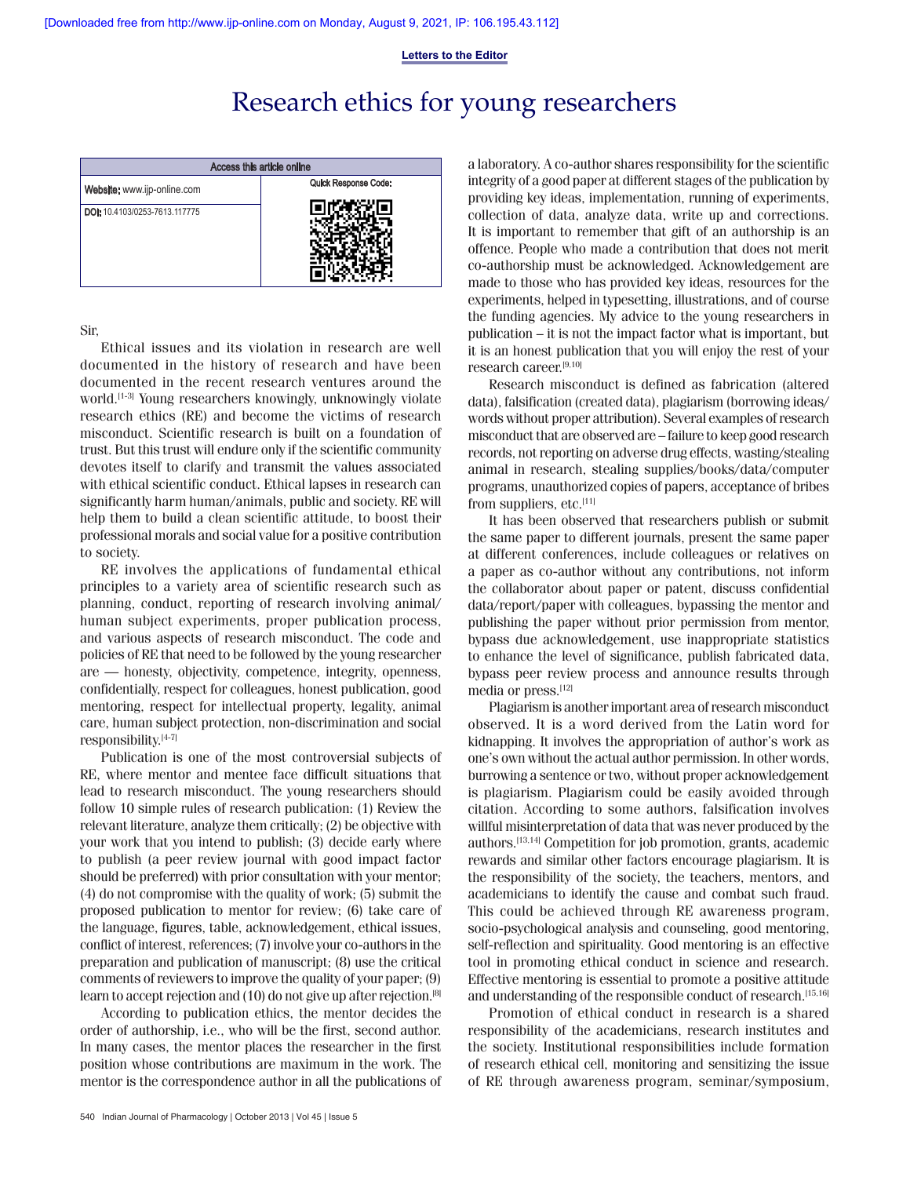**Letters to the Editor**

# Research ethics for young researchers

| Access this article online           |                      |
|--------------------------------------|----------------------|
| Website: www.ijp-online.com          | Quick Response Code: |
| <b>DOI:</b> 10.4103/0253-7613.117775 |                      |

## Sir,

Ethical issues and its violation in research are well documented in the history of research and have been documented in the recent research ventures around the world.<sup>[1-3]</sup> Young researchers knowingly, unknowingly violate research ethics (RE) and become the victims of research misconduct. Scientific research is built on a foundation of trust. But this trust will endure only if the scientific community devotes itself to clarify and transmit the values associated with ethical scientific conduct. Ethical lapses in research can significantly harm human/animals, public and society. RE will help them to build a clean scientific attitude, to boost their professional morals and social value for a positive contribution to society.

RE involves the applications of fundamental ethical principles to a variety area of scientific research such as planning, conduct, reporting of research involving animal/ human subject experiments, proper publication process, and various aspects of research misconduct. The code and policies of RE that need to be followed by the young researcher are — honesty, objectivity, competence, integrity, openness, confidentially, respect for colleagues, honest publication, good mentoring, respect for intellectual property, legality, animal care, human subject protection, non-discrimination and social responsibility.[4-7]

Publication is one of the most controversial subjects of RE, where mentor and mentee face difficult situations that lead to research misconduct. The young researchers should follow 10 simple rules of research publication: (1) Review the relevant literature, analyze them critically; (2) be objective with your work that you intend to publish; (3) decide early where to publish (a peer review journal with good impact factor should be preferred) with prior consultation with your mentor; (4) do not compromise with the quality of work; (5) submit the proposed publication to mentor for review; (6) take care of the language, figures, table, acknowledgement, ethical issues, conflict of interest, references; (7) involve your co-authors in the preparation and publication of manuscript; (8) use the critical comments of reviewers to improve the quality of your paper; (9) learn to accept rejection and (10) do not give up after rejection.[8]

According to publication ethics, the mentor decides the order of authorship, i.e., who will be the first, second author. In many cases, the mentor places the researcher in the first position whose contributions are maximum in the work. The mentor is the correspondence author in all the publications of a laboratory. A co-author shares responsibility for the scientific integrity of a good paper at different stages of the publication by providing key ideas, implementation, running of experiments, collection of data, analyze data, write up and corrections. It is important to remember that gift of an authorship is an offence. People who made a contribution that does not merit co-authorship must be acknowledged. Acknowledgement are made to those who has provided key ideas, resources for the experiments, helped in typesetting, illustrations, and of course the funding agencies. My advice to the young researchers in publication – it is not the impact factor what is important, but it is an honest publication that you will enjoy the rest of your research career.[9,10]

Research misconduct is defined as fabrication (altered data), falsification (created data), plagiarism (borrowing ideas/ words without proper attribution). Several examples of research misconduct that are observed are – failure to keep good research records, not reporting on adverse drug effects, wasting/stealing animal in research, stealing supplies/books/data/computer programs, unauthorized copies of papers, acceptance of bribes from suppliers, etc.<sup>[11]</sup>

It has been observed that researchers publish or submit the same paper to different journals, present the same paper at different conferences, include colleagues or relatives on a paper as co-author without any contributions, not inform the collaborator about paper or patent, discuss confidential data/report/paper with colleagues, bypassing the mentor and publishing the paper without prior permission from mentor, bypass due acknowledgement, use inappropriate statistics to enhance the level of significance, publish fabricated data, bypass peer review process and announce results through media or press.[12]

Plagiarism is another important area of research misconduct observed. It is a word derived from the Latin word for kidnapping. It involves the appropriation of author's work as one's own without the actual author permission. In other words, burrowing a sentence or two, without proper acknowledgement is plagiarism. Plagiarism could be easily avoided through citation. According to some authors, falsification involves willful misinterpretation of data that was never produced by the authors.[13,14] Competition for job promotion, grants, academic rewards and similar other factors encourage plagiarism. It is the responsibility of the society, the teachers, mentors, and academicians to identify the cause and combat such fraud. This could be achieved through RE awareness program, socio-psychological analysis and counseling, good mentoring, self-reflection and spirituality. Good mentoring is an effective tool in promoting ethical conduct in science and research. Effective mentoring is essential to promote a positive attitude and understanding of the responsible conduct of research.<sup>[15,16]</sup>

Promotion of ethical conduct in research is a shared responsibility of the academicians, research institutes and the society. Institutional responsibilities include formation of research ethical cell, monitoring and sensitizing the issue of RE through awareness program, seminar/symposium,